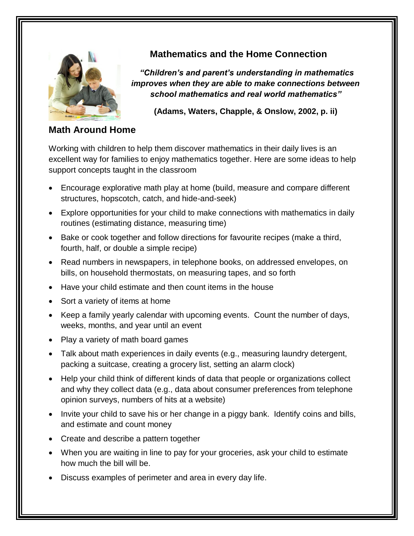

## **Mathematics and the Home Connection**

*"Children's and parent's understanding in mathematics improves when they are able to make connections between school mathematics and real world mathematics"*

**(Adams, Waters, Chapple, & Onslow, 2002, p. ii)**

### **Math Around Home**

Working with children to help them discover mathematics in their daily lives is an excellent way for families to enjoy mathematics together. Here are some ideas to help support concepts taught in the classroom

- Encourage explorative math play at home (build, measure and compare different structures, hopscotch, catch, and hide-and-seek)
- Explore opportunities for your child to make connections with mathematics in daily routines (estimating distance, measuring time)
- Bake or cook together and follow directions for favourite recipes (make a third, fourth, half, or double a simple recipe)
- Read numbers in newspapers, in telephone books, on addressed envelopes, on bills, on household thermostats, on measuring tapes, and so forth
- Have your child estimate and then count items in the house
- Sort a variety of items at home
- Keep a family yearly calendar with upcoming events. Count the number of days, weeks, months, and year until an event
- Play a variety of math board games
- Talk about math experiences in daily events (e.g., measuring laundry detergent, packing a suitcase, creating a grocery list, setting an alarm clock)
- Help your child think of different kinds of data that people or organizations collect and why they collect data (e.g., data about consumer preferences from telephone opinion surveys, numbers of hits at a website)
- Invite your child to save his or her change in a piggy bank. Identify coins and bills, and estimate and count money
- Create and describe a pattern together
- When you are waiting in line to pay for your groceries, ask your child to estimate how much the bill will be.
- Discuss examples of perimeter and area in every day life.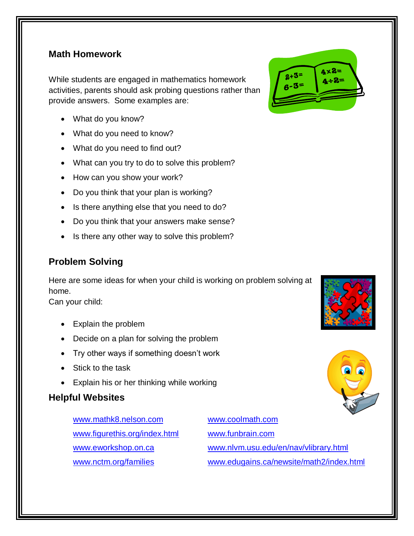#### **Math Homework**

While students are engaged in mathematics homework activities, parents should ask probing questions rather than provide answers. Some examples are:

- What do you know?
- What do you need to know?
- What do you need to find out?
- What can you try to do to solve this problem?
- How can you show your work?
- Do you think that your plan is working?
- Is there anything else that you need to do?
- Do you think that your answers make sense?
- Is there any other way to solve this problem?

## **Problem Solving**

Here are some ideas for when your child is working on problem solving at home.

Can your child:

- Explain the problem
- Decide on a plan for solving the problem
- Try other ways if something doesn't work
- Stick to the task
- Explain his or her thinking while working

#### **Helpful Websites**

[www.mathk8.nelson.com](http://www.mathk8.nelson.com/) [www.coolmath.com](http://www.coolmath.com/) [www.figurethis.org/index.html](http://www.figurethis.org/index.html) [www.eworkshop.on.ca](http://www.eworkshop.on.ca/) [www.nctm.org/families](http://www.nctm.org/families)

[www.funbrain.com](http://www.funbrain.com/) [www.nlvm.usu.edu/en/nav/vlibrary.html](http://www.nlvm.usu.edu/en/nav/vlibrary.html) [www.edugains.ca/newsite/math2/index.html](http://www.edugains.ca/newsite/math2/index.html)





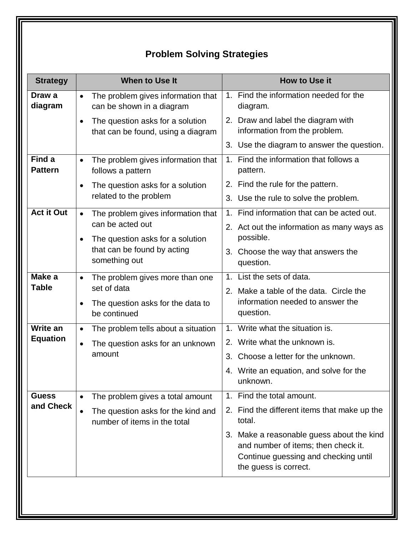# **Problem Solving Strategies**

| <b>Strategy</b>                    | <b>When to Use It</b>                                                                                                | <b>How to Use it</b>                                                                                                                              |
|------------------------------------|----------------------------------------------------------------------------------------------------------------------|---------------------------------------------------------------------------------------------------------------------------------------------------|
| Draw a<br>diagram                  | The problem gives information that<br>$\bullet$<br>can be shown in a diagram                                         | 1. Find the information needed for the<br>diagram.                                                                                                |
|                                    | The question asks for a solution<br>$\bullet$<br>that can be found, using a diagram                                  | 2. Draw and label the diagram with<br>information from the problem.                                                                               |
|                                    |                                                                                                                      | 3. Use the diagram to answer the question.                                                                                                        |
| Find a<br><b>Pattern</b>           | The problem gives information that<br>$\bullet$<br>follows a pattern                                                 | 1. Find the information that follows a<br>pattern.                                                                                                |
|                                    | The question asks for a solution<br>$\bullet$                                                                        | 2. Find the rule for the pattern.                                                                                                                 |
|                                    | related to the problem                                                                                               | 3. Use the rule to solve the problem.                                                                                                             |
| <b>Act it Out</b>                  | The problem gives information that<br>$\bullet$<br>can be acted out<br>The question asks for a solution<br>$\bullet$ | Find information that can be acted out.<br>$1_{-}$                                                                                                |
|                                    |                                                                                                                      | 2. Act out the information as many ways as<br>possible.                                                                                           |
|                                    | that can be found by acting<br>something out                                                                         | 3. Choose the way that answers the<br>question.                                                                                                   |
| Make a                             | The problem gives more than one<br>$\bullet$                                                                         | 1. List the sets of data.                                                                                                                         |
| <b>Table</b>                       | set of data<br>The question asks for the data to<br>$\bullet$<br>be continued                                        | 2. Make a table of the data. Circle the<br>information needed to answer the<br>question.                                                          |
| <b>Write an</b><br><b>Equation</b> | The problem tells about a situation<br>$\bullet$                                                                     | 1. Write what the situation is.                                                                                                                   |
|                                    | The question asks for an unknown<br>$\bullet$                                                                        | 2. Write what the unknown is.                                                                                                                     |
|                                    | amount                                                                                                               | 3. Choose a letter for the unknown.                                                                                                               |
|                                    |                                                                                                                      | 4. Write an equation, and solve for the<br>unknown.                                                                                               |
| <b>Guess</b><br>and Check          | The problem gives a total amount<br>$\bullet$                                                                        | Find the total amount.<br>$1_{-}$                                                                                                                 |
|                                    | The question asks for the kind and<br>number of items in the total                                                   | 2. Find the different items that make up the<br>total.                                                                                            |
|                                    |                                                                                                                      | 3. Make a reasonable guess about the kind<br>and number of items; then check it.<br>Continue guessing and checking until<br>the guess is correct. |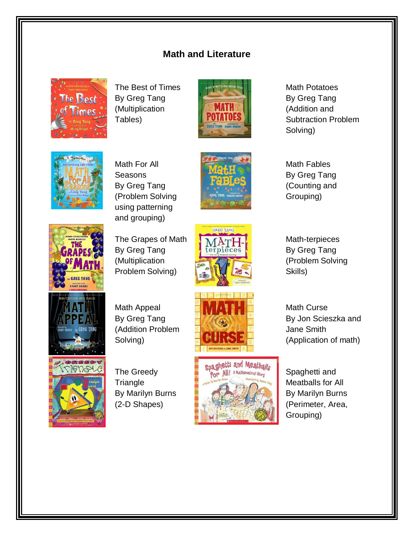### **Math and Literature**



The Best of Times By Greg Tang (Multiplication Tables)



Math For All **Seasons** By Greg Tang (Problem Solving using patterning and grouping)





Math Potatoes By Greg Tang (Addition and Subtraction Problem Solving)

Math Fables By Greg Tang (Counting and Grouping)



The Grapes of Math By Greg Tang (Multiplication Problem Solving)



Math-terpieces By Greg Tang (Problem Solving Skills)

Math Curse



Math Appeal By Greg Tang (Addition Problem Solving)



The Greedy **Triangle** By Marilyn Burns (2-D Shapes)





By Jon Scieszka and Jane Smith (Application of math)

Spaghetti and Meatballs for All By Marilyn Burns (Perimeter, Area, Grouping)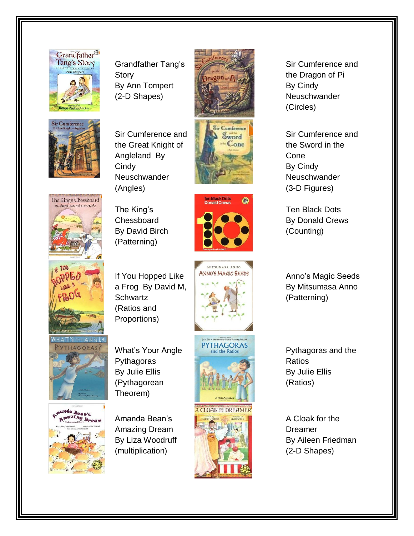

Grandfather Tang's Story By Ann Tompert (2-D Shapes)





Sir Cumference and the Great Knight of Angleland By **Cindy** Neuschwander (Angles)







The King's **Chessboard** By David Birch (Patterning)

If You Hopped Like a Frog By David M,

**Schwartz** (Ratios and Proportions)







What's Your Angle **Pythagoras** By Julie Ellis (Pythagorean Theorem)







Sir Cumference and the Dragon of Pi By Cindy **Neuschwander** (Circles)

Sir Cumference and the Sword in the Cone By Cindy **Neuschwander** (3-D Figures)

Ten Black Dots By Donald Crews (Counting)

Anno's Magic Seeds By Mitsumasa Anno (Patterning)

Pythagoras and the Ratios By Julie Ellis (Ratios)

A Cloak for the Dreamer By Aileen Friedman (2-D Shapes)

**snde Bean's<br>Smazing Dream**<br>AMahematical Story **Dream** 

Amanda Bean's Amazing Dream By Liza Woodruff (multiplication)